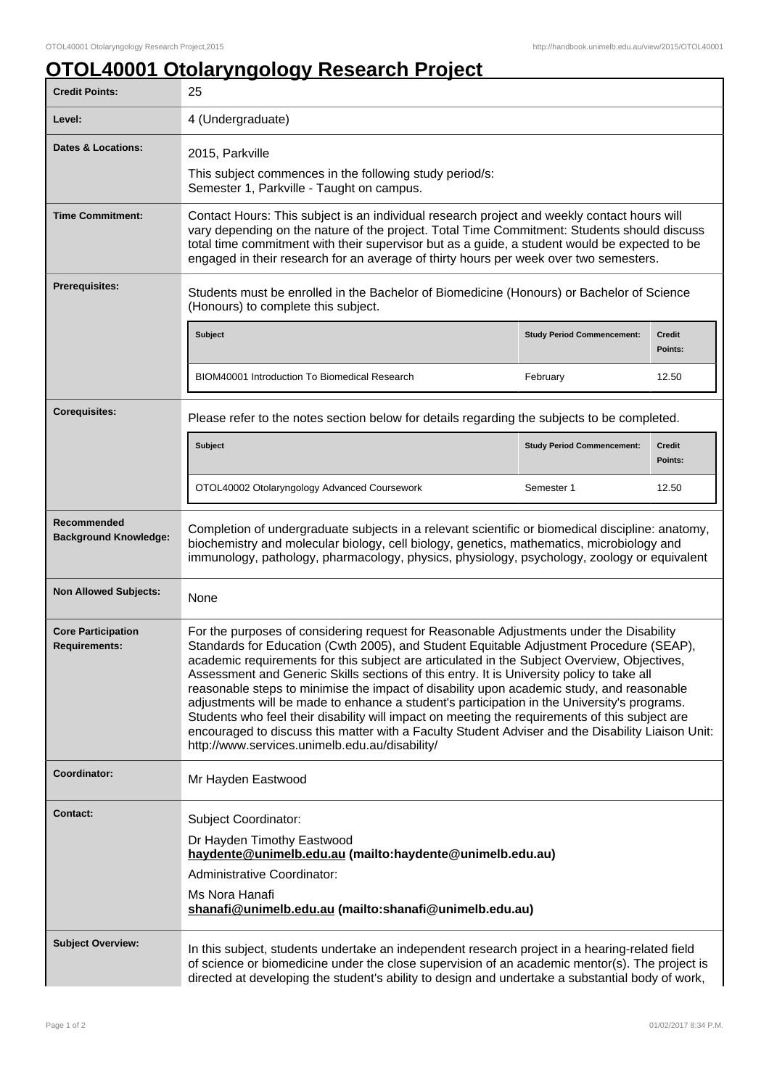## **OTOL40001 Otolaryngology Research Project**

| <b>Credit Points:</b>                             | 25                                                                                                                                                                                                                                                                                                                                                                                                                                                                                                                                                                                                                                                                                                                                                                                                                                  |                                   |                          |
|---------------------------------------------------|-------------------------------------------------------------------------------------------------------------------------------------------------------------------------------------------------------------------------------------------------------------------------------------------------------------------------------------------------------------------------------------------------------------------------------------------------------------------------------------------------------------------------------------------------------------------------------------------------------------------------------------------------------------------------------------------------------------------------------------------------------------------------------------------------------------------------------------|-----------------------------------|--------------------------|
| Level:                                            | 4 (Undergraduate)                                                                                                                                                                                                                                                                                                                                                                                                                                                                                                                                                                                                                                                                                                                                                                                                                   |                                   |                          |
| <b>Dates &amp; Locations:</b>                     | 2015, Parkville<br>This subject commences in the following study period/s:<br>Semester 1, Parkville - Taught on campus.                                                                                                                                                                                                                                                                                                                                                                                                                                                                                                                                                                                                                                                                                                             |                                   |                          |
| <b>Time Commitment:</b>                           | Contact Hours: This subject is an individual research project and weekly contact hours will<br>vary depending on the nature of the project. Total Time Commitment: Students should discuss<br>total time commitment with their supervisor but as a guide, a student would be expected to be<br>engaged in their research for an average of thirty hours per week over two semesters.                                                                                                                                                                                                                                                                                                                                                                                                                                                |                                   |                          |
| Prerequisites:                                    | Students must be enrolled in the Bachelor of Biomedicine (Honours) or Bachelor of Science<br>(Honours) to complete this subject.                                                                                                                                                                                                                                                                                                                                                                                                                                                                                                                                                                                                                                                                                                    |                                   |                          |
|                                                   | Subject                                                                                                                                                                                                                                                                                                                                                                                                                                                                                                                                                                                                                                                                                                                                                                                                                             | <b>Study Period Commencement:</b> | <b>Credit</b><br>Points: |
|                                                   | <b>BIOM40001 Introduction To Biomedical Research</b>                                                                                                                                                                                                                                                                                                                                                                                                                                                                                                                                                                                                                                                                                                                                                                                | February                          | 12.50                    |
| <b>Corequisites:</b>                              | Please refer to the notes section below for details regarding the subjects to be completed.                                                                                                                                                                                                                                                                                                                                                                                                                                                                                                                                                                                                                                                                                                                                         |                                   |                          |
|                                                   | <b>Subject</b>                                                                                                                                                                                                                                                                                                                                                                                                                                                                                                                                                                                                                                                                                                                                                                                                                      | <b>Study Period Commencement:</b> | Credit<br>Points:        |
|                                                   | OTOL40002 Otolaryngology Advanced Coursework                                                                                                                                                                                                                                                                                                                                                                                                                                                                                                                                                                                                                                                                                                                                                                                        | Semester 1                        | 12.50                    |
| Recommended<br><b>Background Knowledge:</b>       | Completion of undergraduate subjects in a relevant scientific or biomedical discipline: anatomy,<br>biochemistry and molecular biology, cell biology, genetics, mathematics, microbiology and<br>immunology, pathology, pharmacology, physics, physiology, psychology, zoology or equivalent                                                                                                                                                                                                                                                                                                                                                                                                                                                                                                                                        |                                   |                          |
| <b>Non Allowed Subjects:</b>                      | None                                                                                                                                                                                                                                                                                                                                                                                                                                                                                                                                                                                                                                                                                                                                                                                                                                |                                   |                          |
| <b>Core Participation</b><br><b>Requirements:</b> | For the purposes of considering request for Reasonable Adjustments under the Disability<br>Standards for Education (Cwth 2005), and Student Equitable Adjustment Procedure (SEAP),<br>academic requirements for this subject are articulated in the Subject Overview, Objectives,<br>Assessment and Generic Skills sections of this entry. It is University policy to take all<br>reasonable steps to minimise the impact of disability upon academic study, and reasonable<br>adjustments will be made to enhance a student's participation in the University's programs.<br>Students who feel their disability will impact on meeting the requirements of this subject are<br>encouraged to discuss this matter with a Faculty Student Adviser and the Disability Liaison Unit:<br>http://www.services.unimelb.edu.au/disability/ |                                   |                          |
| Coordinator:                                      | Mr Hayden Eastwood                                                                                                                                                                                                                                                                                                                                                                                                                                                                                                                                                                                                                                                                                                                                                                                                                  |                                   |                          |
| <b>Contact:</b>                                   | Subject Coordinator:<br>Dr Hayden Timothy Eastwood<br>haydente@unimelb.edu.au (mailto:haydente@unimelb.edu.au)<br>Administrative Coordinator:<br>Ms Nora Hanafi<br>shanafi@unimelb.edu.au (mailto:shanafi@unimelb.edu.au)                                                                                                                                                                                                                                                                                                                                                                                                                                                                                                                                                                                                           |                                   |                          |
| <b>Subject Overview:</b>                          | In this subject, students undertake an independent research project in a hearing-related field<br>of science or biomedicine under the close supervision of an academic mentor(s). The project is<br>directed at developing the student's ability to design and undertake a substantial body of work,                                                                                                                                                                                                                                                                                                                                                                                                                                                                                                                                |                                   |                          |